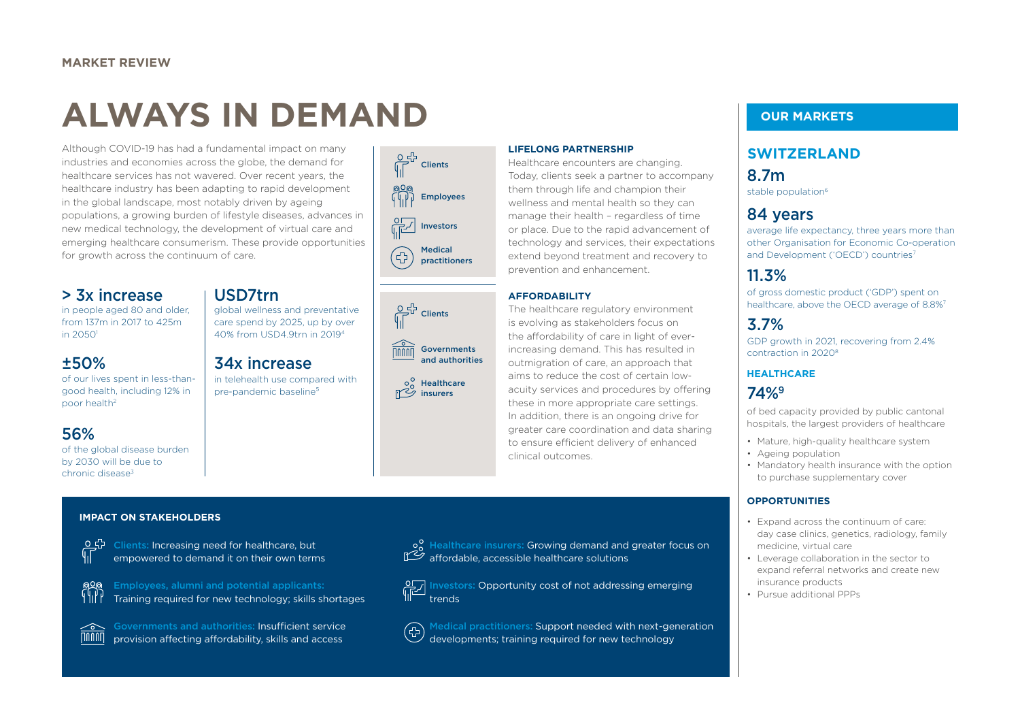# **ALWAYS IN DEMAND**

Although COVID-19 has had a fundamental impact on many industries and economies across the globe, the demand for healthcare services has not wavered. Over recent years, the healthcare industry has been adapting to rapid development in the global landscape, most notably driven by ageing populations, a growing burden of lifestyle diseases, advances in new medical technology, the development of virtual care and emerging healthcare consumerism. These provide opportunities for growth across the continuum of care.

# > 3x increase

in people aged 80 and older, from 137m in 2017 to 425m in 20501

# ±50%

of our lives spent in less-thangood health, including 12% in poor health2

# 56%

of the global disease burden by 2030 will be due to chronic disease<sup>3</sup>

# USD7trn

global wellness and preventative care spend by 2025, up by over 40% from USD4.9trn in 20194

# 34x increase

in telehealth use compared with pre-pandemic baseline<sup>5</sup>





Healthcare  $\frac{100}{100}$  Healthca

**LIFELONG PARTNERSHIP**

Healthcare encounters are changing. Today, clients seek a partner to accompany them through life and champion their wellness and mental health so they can manage their health – regardless of time or place. Due to the rapid advancement of technology and services, their expectations extend beyond treatment and recovery to prevention and enhancement.

#### **AFFORDABILITY**

The healthcare regulatory environment is evolving as stakeholders focus on the affordability of care in light of everincreasing demand. This has resulted in outmigration of care, an approach that aims to reduce the cost of certain lowacuity services and procedures by offering these in more appropriate care settings. In addition, there is an ongoing drive for greater care coordination and data sharing to ensure efficient delivery of enhanced clinical outcomes.

# **SWITZERLAND**

8.7m stable population<sup>6</sup>

# 84 years

average life expectancy, three years more than other Organisation for Economic Co-operation and Development ('OECD') countries<sup>7</sup>

# 11.3%

of gross domestic product ('GDP') spent on healthcare, above the OECD average of 8.8%<sup>7</sup>

# 3.7%

GDP growth in 2021, recovering from 2.4% contraction in 20208

## **HEALTHCARE**

# 74%9

of bed capacity provided by public cantonal hospitals, the largest providers of healthcare

- Mature, high-quality healthcare system
- Ageing population
- Mandatory health insurance with the option to purchase supplementary cover

#### **OPPORTUNITIES**

- Expand across the continuum of care: day case clinics, genetics, radiology, family medicine, virtual care
- Leverage collaboration in the sector to expand referral networks and create new insurance products
- Pursue additional PPPs

#### **IMPACT ON STAKEHOLDERS**



Clients: Increasing need for healthcare, but empowered to demand it on their own terms



Employees, alumni and potential applicants: Training required for new technology; skills shortages



Governments and authorities: Insufficient service provision affecting affordability, skills and access



**Investors: Opportunity cost of not addressing emerging** trends

Medical practitioners: Support needed with next-generation  $\bigoplus$ developments; training required for new technology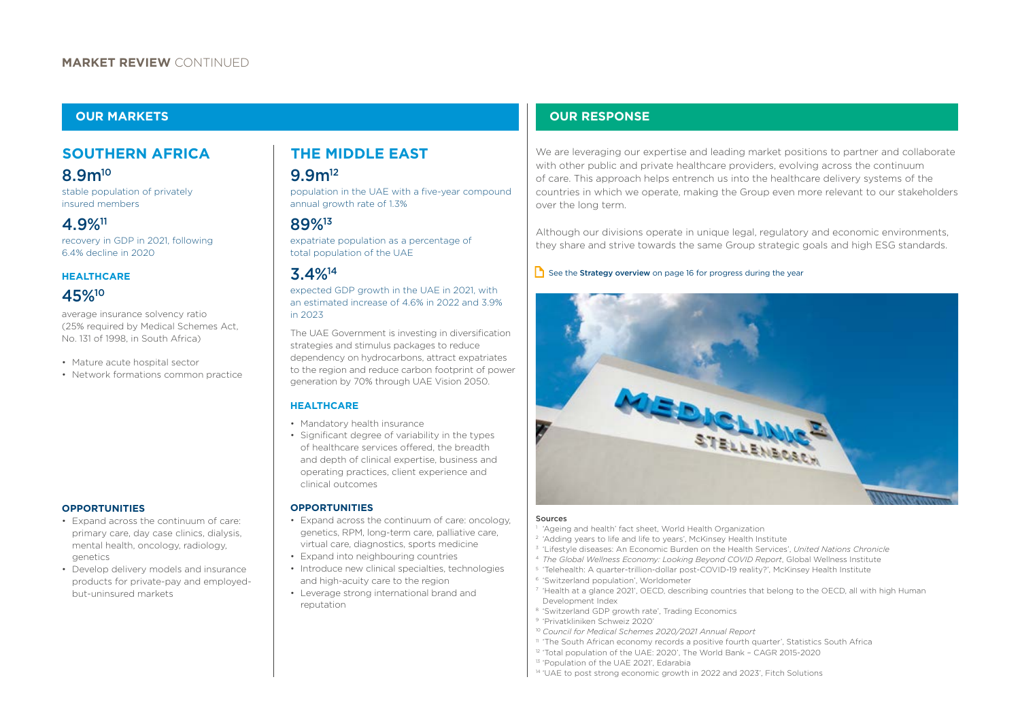## **SOUTHERN AFRICA THE MIDDLE EAST**

stable population of privately insured members

# 4.9%11 89%13

recovery in GDP in 2021, following 6.4% decline in 2020

#### **HEALTHCARE**

# 45%10

average insurance solvency ratio (25% required by Medical Schemes Act, No. 131 of 1998, in South Africa)

• Mature acute hospital sector

• Network formations common practice

#### **OPPORTUNITIES**

- Expand across the continuum of care: primary care, day case clinics, dialysis, mental health, oncology, radiology, genetics
- Develop delivery models and insurance products for private-pay and employedbut-uninsured markets

# 8.9m<sup>10</sup> 9.9m<sup>12</sup>

population in the UAE with a five-year compound annual growth rate of 1.3%

expatriate population as a percentage of total population of the UAE

## 3.4%14

#### expected GDP growth in the UAE in 2021, with an estimated increase of 4.6% in 2022 and 3.9% in 2023

The UAE Government is investing in diversification strategies and stimulus packages to reduce dependency on hydrocarbons, attract expatriates to the region and reduce carbon footprint of power generation by 70% through UAE Vision 2050.

## **HEALTHCARE**

- Mandatory health insurance
- Significant degree of variability in the types of healthcare services offered, the breadth and depth of clinical expertise, business and operating practices, client experience and clinical outcomes

#### **OPPORTUNITIES**

- Expand across the continuum of care: oncology, genetics, RPM, long-term care, palliative care, virtual care, diagnostics, sports medicine
- Expand into neighbouring countries
- Introduce new clinical specialties, technologies and high-acuity care to the region
- Leverage strong international brand and reputation

## **OUR MARKETS OUR RESPONSE**

We are leveraging our expertise and leading market positions to partner and collaborate with other public and private healthcare providers, evolving across the continuum of care. This approach helps entrench us into the healthcare delivery systems of the countries in which we operate, making the Group even more relevant to our stakeholders over the long term.

Although our divisions operate in unique legal, regulatory and economic environments, they share and strive towards the same Group strategic goals and high ESG standards.

#### $\Box$  See the **Strategy overview** on page 16 for progress during the year



#### Sources

- 'Ageing and health' fact sheet, World Health Organization
- <sup>2</sup> 'Adding years to life and life to years', McKinsey Health Institute
- 3 'Lifestyle diseases: An Economic Burden on the Health Services', *United Nations Chronicle*
- <sup>4</sup>*The Global Wellness Economy: Looking Beyond COVID Report*, Global Wellness Institute
- 5 'Telehealth: A quarter-trillion-dollar post-COVID-19 reality?', McKinsey Health Institute
- 6 'Switzerland population', Worldometer
- 7 'Health at a glance 2021', OECD, describing countries that belong to the OECD, all with high Human Development Index
- 8 'Switzerland GDP growth rate', Trading Economics
- 9 'Privatkliniken Schweiz 2020'
- <sup>10</sup>*Council for Medical Schemes 2020/2021 Annual Report*
- 11 'The South African economy records a positive fourth quarter', Statistics South Africa
- 12 'Total population of the UAE: 2020', The World Bank CAGR 2015-2020
- <sup>13</sup> 'Population of the UAE 2021', Edarabia
- 14 'UAE to post strong economic growth in 2022 and 2023', Fitch Solutions